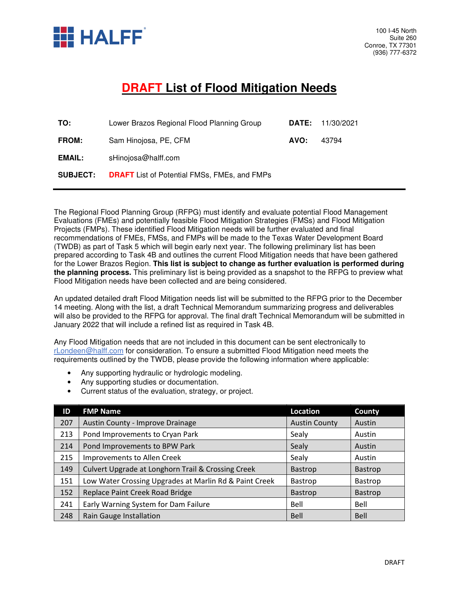

## **DRAFT List of Flood Mitigation Needs**

| <b>DATE:</b> 11/30/2021 |
|-------------------------|
| 43794                   |
|                         |
|                         |
|                         |

The Regional Flood Planning Group (RFPG) must identify and evaluate potential Flood Management Evaluations (FMEs) and potentially feasible Flood Mitigation Strategies (FMSs) and Flood Mitigation Projects (FMPs). These identified Flood Mitigation needs will be further evaluated and final recommendations of FMEs, FMSs, and FMPs will be made to the Texas Water Development Board (TWDB) as part of Task 5 which will begin early next year. The following preliminary list has been prepared according to Task 4B and outlines the current Flood Mitigation needs that have been gathered for the Lower Brazos Region. **This list is subject to change as further evaluation is performed during the planning process.** This preliminary list is being provided as a snapshot to the RFPG to preview what Flood Mitigation needs have been collected and are being considered.

An updated detailed draft Flood Mitigation needs list will be submitted to the RFPG prior to the December 14 meeting. Along with the list, a draft Technical Memorandum summarizing progress and deliverables will also be provided to the RFPG for approval. The final draft Technical Memorandum will be submitted in January 2022 that will include a refined list as required in Task 4B.

Any Flood Mitigation needs that are not included in this document can be sent electronically to rLondeen@halff.com for consideration. To ensure a submitted Flood Mitigation need meets the requirements outlined by the TWDB, please provide the following information where applicable:

- Any supporting hydraulic or hydrologic modeling.
- Any supporting studies or documentation.
- Current status of the evaluation, strategy, or project.

| ID  | <b>FMP Name</b>                                        | Location             | County         |
|-----|--------------------------------------------------------|----------------------|----------------|
| 207 | Austin County - Improve Drainage                       | <b>Austin County</b> | Austin         |
| 213 | Pond Improvements to Cryan Park                        | Sealy                | Austin         |
| 214 | Pond Improvements to BPW Park                          | Sealy                | Austin         |
| 215 | Improvements to Allen Creek                            | Sealy                | Austin         |
| 149 | Culvert Upgrade at Longhorn Trail & Crossing Creek     | Bastrop              | <b>Bastrop</b> |
| 151 | Low Water Crossing Upgrades at Marlin Rd & Paint Creek | Bastrop              | Bastrop        |
| 152 | Replace Paint Creek Road Bridge                        | <b>Bastrop</b>       | Bastrop        |
| 241 | Early Warning System for Dam Failure                   | Bell                 | Bell           |
| 248 | Rain Gauge Installation                                | <b>Bell</b>          | Bell           |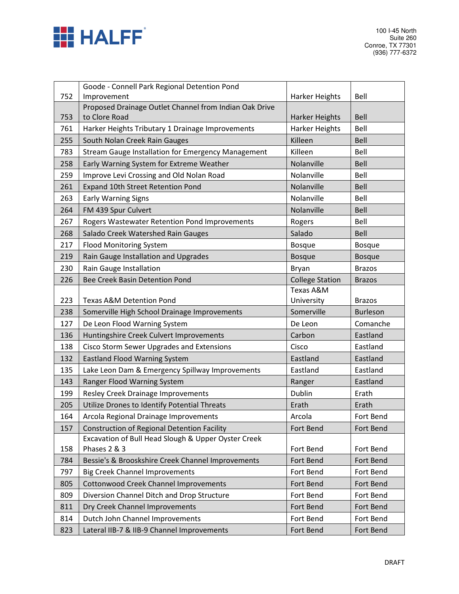

|     | Goode - Connell Park Regional Detention Pond           |                        |                 |
|-----|--------------------------------------------------------|------------------------|-----------------|
| 752 | Improvement                                            | Harker Heights         | Bell            |
|     | Proposed Drainage Outlet Channel from Indian Oak Drive |                        |                 |
| 753 | to Clore Road                                          | Harker Heights         | <b>Bell</b>     |
| 761 | Harker Heights Tributary 1 Drainage Improvements       | Harker Heights         | Bell            |
| 255 | South Nolan Creek Rain Gauges                          | Killeen                | Bell            |
| 783 | Stream Gauge Installation for Emergency Management     | Killeen                | Bell            |
| 258 | Early Warning System for Extreme Weather               | Nolanville             | Bell            |
| 259 | Improve Levi Crossing and Old Nolan Road               | Nolanville             | Bell            |
| 261 | Expand 10th Street Retention Pond                      | Nolanville             | <b>Bell</b>     |
| 263 | <b>Early Warning Signs</b>                             | Nolanville             | Bell            |
| 264 | FM 439 Spur Culvert                                    | Nolanville             | <b>Bell</b>     |
| 267 | Rogers Wastewater Retention Pond Improvements          | Rogers                 | Bell            |
| 268 | Salado Creek Watershed Rain Gauges                     | Salado                 | Bell            |
| 217 | <b>Flood Monitoring System</b>                         | <b>Bosque</b>          | <b>Bosque</b>   |
| 219 | Rain Gauge Installation and Upgrades                   | <b>Bosque</b>          | <b>Bosque</b>   |
| 230 | Rain Gauge Installation                                | Bryan                  | <b>Brazos</b>   |
| 226 | <b>Bee Creek Basin Detention Pond</b>                  | <b>College Station</b> | <b>Brazos</b>   |
|     |                                                        | Texas A&M              |                 |
| 223 | <b>Texas A&amp;M Detention Pond</b>                    | University             | <b>Brazos</b>   |
| 238 | Somerville High School Drainage Improvements           | Somerville             | <b>Burleson</b> |
| 127 | De Leon Flood Warning System                           | De Leon                | Comanche        |
|     |                                                        |                        |                 |
| 136 | Huntingshire Creek Culvert Improvements                | Carbon                 | Eastland        |
| 138 | Cisco Storm Sewer Upgrades and Extensions              | Cisco                  | Eastland        |
| 132 | <b>Eastland Flood Warning System</b>                   | Eastland               | Eastland        |
| 135 | Lake Leon Dam & Emergency Spillway Improvements        | Eastland               | Eastland        |
| 143 | Ranger Flood Warning System                            | Ranger                 | Eastland        |
| 199 | Resley Creek Drainage Improvements                     | Dublin                 | Erath           |
| 205 | Utilize Drones to Identify Potential Threats           | Erath                  | Erath           |
| 164 | Arcola Regional Drainage Improvements                  | Arcola                 | Fort Bend       |
| 157 | <b>Construction of Regional Detention Facility</b>     | Fort Bend              | Fort Bend       |
|     | Excavation of Bull Head Slough & Upper Oyster Creek    |                        |                 |
| 158 | Phases 2 & 3                                           | Fort Bend              | Fort Bend       |
| 784 | Bessie's & Brooskshire Creek Channel Improvements      | Fort Bend              | Fort Bend       |
| 797 | <b>Big Creek Channel Improvements</b>                  | Fort Bend              | Fort Bend       |
| 805 | Cottonwood Creek Channel Improvements                  | Fort Bend              | Fort Bend       |
| 809 | Diversion Channel Ditch and Drop Structure             | Fort Bend              | Fort Bend       |
| 811 | Dry Creek Channel Improvements                         | Fort Bend              | Fort Bend       |
| 814 | Dutch John Channel Improvements                        | Fort Bend              | Fort Bend       |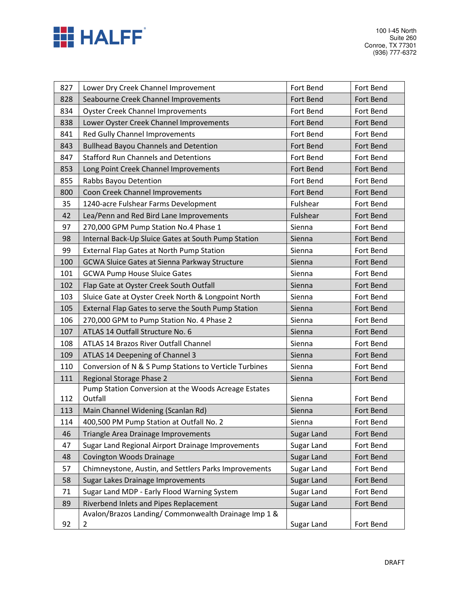

| 827 | Lower Dry Creek Channel Improvement                    | Fort Bend  | Fort Bend |
|-----|--------------------------------------------------------|------------|-----------|
| 828 | Seabourne Creek Channel Improvements                   | Fort Bend  | Fort Bend |
| 834 | <b>Oyster Creek Channel Improvements</b>               | Fort Bend  | Fort Bend |
| 838 | Lower Oyster Creek Channel Improvements                | Fort Bend  | Fort Bend |
| 841 | Red Gully Channel Improvements                         | Fort Bend  | Fort Bend |
| 843 | <b>Bullhead Bayou Channels and Detention</b>           | Fort Bend  | Fort Bend |
| 847 | <b>Stafford Run Channels and Detentions</b>            | Fort Bend  | Fort Bend |
| 853 | Long Point Creek Channel Improvements                  | Fort Bend  | Fort Bend |
| 855 | Rabbs Bayou Detention                                  | Fort Bend  | Fort Bend |
| 800 | Coon Creek Channel Improvements                        | Fort Bend  | Fort Bend |
| 35  | 1240-acre Fulshear Farms Development                   | Fulshear   | Fort Bend |
| 42  | Lea/Penn and Red Bird Lane Improvements                | Fulshear   | Fort Bend |
| 97  | 270,000 GPM Pump Station No.4 Phase 1                  | Sienna     | Fort Bend |
| 98  | Internal Back-Up Sluice Gates at South Pump Station    | Sienna     | Fort Bend |
| 99  | <b>External Flap Gates at North Pump Station</b>       | Sienna     | Fort Bend |
| 100 | <b>GCWA Sluice Gates at Sienna Parkway Structure</b>   | Sienna     | Fort Bend |
| 101 | <b>GCWA Pump House Sluice Gates</b>                    | Sienna     | Fort Bend |
| 102 | Flap Gate at Oyster Creek South Outfall                | Sienna     | Fort Bend |
| 103 | Sluice Gate at Oyster Creek North & Longpoint North    | Sienna     | Fort Bend |
| 105 | External Flap Gates to serve the South Pump Station    | Sienna     | Fort Bend |
| 106 | 270,000 GPM to Pump Station No. 4 Phase 2              | Sienna     | Fort Bend |
| 107 | ATLAS 14 Outfall Structure No. 6                       | Sienna     | Fort Bend |
| 108 | ATLAS 14 Brazos River Outfall Channel                  | Sienna     | Fort Bend |
| 109 | ATLAS 14 Deepening of Channel 3                        | Sienna     | Fort Bend |
| 110 | Conversion of N & S Pump Stations to Verticle Turbines | Sienna     | Fort Bend |
| 111 | Regional Storage Phase 2                               | Sienna     | Fort Bend |
|     | Pump Station Conversion at the Woods Acreage Estates   |            |           |
| 112 | Outfall                                                | Sienna     | Fort Bend |
| 113 | Main Channel Widening (Scanlan Rd)                     | Sienna     | Fort Bend |
| 114 | 400,500 PM Pump Station at Outfall No. 2               | Sienna     | Fort Bend |
| 46  | Triangle Area Drainage Improvements                    | Sugar Land | Fort Bend |
| 47  | Sugar Land Regional Airport Drainage Improvements      | Sugar Land | Fort Bend |
| 48  | Covington Woods Drainage                               | Sugar Land | Fort Bend |
| 57  | Chimneystone, Austin, and Settlers Parks Improvements  | Sugar Land | Fort Bend |
| 58  | Sugar Lakes Drainage Improvements                      | Sugar Land | Fort Bend |
| 71  | Sugar Land MDP - Early Flood Warning System            | Sugar Land | Fort Bend |
| 89  | Riverbend Inlets and Pipes Replacement                 | Sugar Land | Fort Bend |
|     | Avalon/Brazos Landing/ Commonwealth Drainage Imp 1 &   |            |           |
| 92  | 2                                                      | Sugar Land | Fort Bend |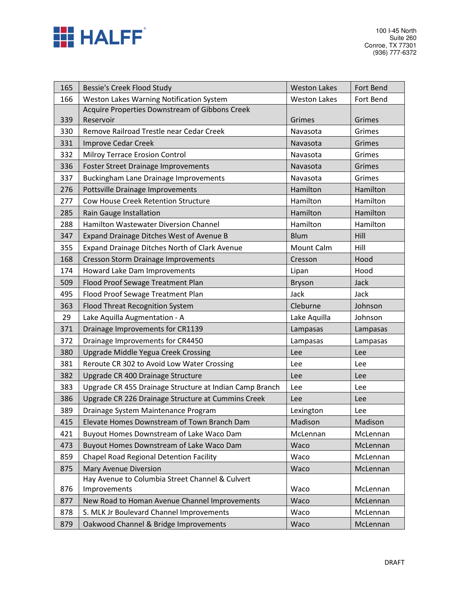

| 165 | Bessie's Creek Flood Study                                      | <b>Weston Lakes</b> | Fort Bend |
|-----|-----------------------------------------------------------------|---------------------|-----------|
| 166 | Weston Lakes Warning Notification System                        | <b>Weston Lakes</b> | Fort Bend |
| 339 | Acquire Properties Downstream of Gibbons Creek<br>Reservoir     | Grimes              | Grimes    |
| 330 | Remove Railroad Trestle near Cedar Creek                        | Navasota            | Grimes    |
| 331 | <b>Improve Cedar Creek</b>                                      | Navasota            | Grimes    |
| 332 | Milroy Terrace Erosion Control                                  | Navasota            | Grimes    |
| 336 | Foster Street Drainage Improvements                             | Navasota            | Grimes    |
| 337 | <b>Buckingham Lane Drainage Improvements</b>                    | Navasota            | Grimes    |
| 276 | Pottsville Drainage Improvements                                | Hamilton            | Hamilton  |
| 277 | Cow House Creek Retention Structure                             | Hamilton            | Hamilton  |
| 285 | Rain Gauge Installation                                         | Hamilton            | Hamilton  |
| 288 | Hamilton Wastewater Diversion Channel                           | Hamilton            | Hamilton  |
| 347 | Expand Drainage Ditches West of Avenue B                        | <b>Blum</b>         | Hill      |
| 355 | Expand Drainage Ditches North of Clark Avenue                   | Mount Calm          | Hill      |
| 168 | <b>Cresson Storm Drainage Improvements</b>                      | Cresson             | Hood      |
| 174 | Howard Lake Dam Improvements                                    | Lipan               | Hood      |
| 509 | Flood Proof Sewage Treatment Plan                               | <b>Bryson</b>       | Jack      |
| 495 | Flood Proof Sewage Treatment Plan                               | Jack                | Jack      |
| 363 | Flood Threat Recognition System                                 | Cleburne            | Johnson   |
| 29  | Lake Aquilla Augmentation - A                                   | Lake Aquilla        | Johnson   |
| 371 | Drainage Improvements for CR1139                                | Lampasas            | Lampasas  |
| 372 | Drainage Improvements for CR4450                                | Lampasas            | Lampasas  |
| 380 | Upgrade Middle Yegua Creek Crossing                             | Lee                 | Lee       |
| 381 | Reroute CR 302 to Avoid Low Water Crossing                      | Lee                 | Lee       |
| 382 | Upgrade CR 400 Drainage Structure                               | Lee                 | Lee       |
| 383 | Upgrade CR 455 Drainage Structure at Indian Camp Branch         | Lee                 | Lee       |
| 386 | Upgrade CR 226 Drainage Structure at Cummins Creek              | Lee                 | Lee       |
| 389 | Drainage System Maintenance Program                             | Lexington           | Lee       |
| 415 | Elevate Homes Downstream of Town Branch Dam                     | Madison             | Madison   |
| 421 | Buyout Homes Downstream of Lake Waco Dam                        | McLennan            | McLennan  |
| 473 | Buyout Homes Downstream of Lake Waco Dam                        | Waco                | McLennan  |
| 859 | <b>Chapel Road Regional Detention Facility</b>                  | Waco                | McLennan  |
| 875 | Mary Avenue Diversion                                           | Waco                | McLennan  |
| 876 | Hay Avenue to Columbia Street Channel & Culvert<br>Improvements | Waco                | McLennan  |
| 877 | New Road to Homan Avenue Channel Improvements                   | Waco                | McLennan  |
| 878 | S. MLK Jr Boulevard Channel Improvements                        | Waco                | McLennan  |
| 879 | Oakwood Channel & Bridge Improvements                           | Waco                | McLennan  |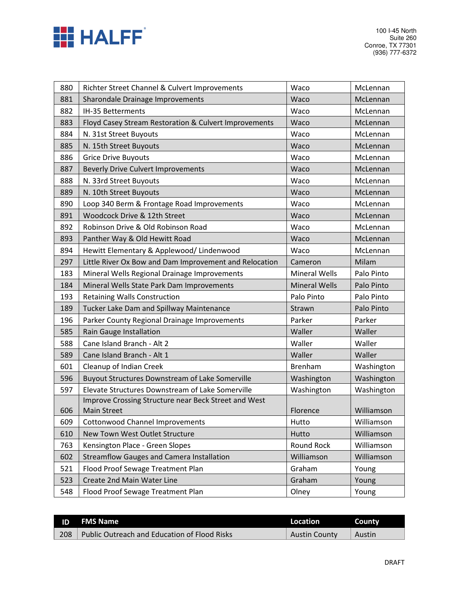

| 880        | Richter Street Channel & Culvert Improvements                   | Waco                 | McLennan       |
|------------|-----------------------------------------------------------------|----------------------|----------------|
| 881        | Sharondale Drainage Improvements                                | Waco                 | McLennan       |
| 882        | IH-35 Betterments                                               | Waco                 | McLennan       |
| 883        | Floyd Casey Stream Restoration & Culvert Improvements           | Waco                 | McLennan       |
| 884        | N. 31st Street Buyouts                                          | Waco                 | McLennan       |
| 885        | N. 15th Street Buyouts                                          | Waco                 | McLennan       |
| 886        | <b>Grice Drive Buyouts</b>                                      | Waco                 | McLennan       |
| 887        | <b>Beverly Drive Culvert Improvements</b>                       | Waco                 | McLennan       |
| 888        | N. 33rd Street Buyouts                                          | Waco                 | McLennan       |
| 889        | N. 10th Street Buyouts                                          | Waco                 | McLennan       |
| 890        | Loop 340 Berm & Frontage Road Improvements                      | Waco                 | McLennan       |
| 891        | Woodcock Drive & 12th Street                                    | Waco                 | McLennan       |
| 892        | Robinson Drive & Old Robinson Road                              | Waco                 | McLennan       |
| 893        | Panther Way & Old Hewitt Road                                   | Waco                 | McLennan       |
| 894        | Hewitt Elementary & Applewood/ Lindenwood                       | Waco                 | McLennan       |
| 297        | Little River Ox Bow and Dam Improvement and Relocation          | Cameron              | Milam          |
| 183        | Mineral Wells Regional Drainage Improvements                    | <b>Mineral Wells</b> | Palo Pinto     |
| 184        | Mineral Wells State Park Dam Improvements                       | <b>Mineral Wells</b> | Palo Pinto     |
| 193        | <b>Retaining Walls Construction</b>                             | Palo Pinto           | Palo Pinto     |
| 189        | Tucker Lake Dam and Spillway Maintenance                        | Strawn               | Palo Pinto     |
| 196        | Parker County Regional Drainage Improvements                    | Parker               | Parker         |
| 585        | Rain Gauge Installation                                         | Waller               | Waller         |
| 588        | Cane Island Branch - Alt 2                                      | Waller               | Waller         |
| 589        | Cane Island Branch - Alt 1                                      | Waller               | Waller         |
| 601        | Cleanup of Indian Creek                                         | <b>Brenham</b>       | Washington     |
| 596        | <b>Buyout Structures Downstream of Lake Somerville</b>          | Washington           | Washington     |
| 597        | Elevate Structures Downstream of Lake Somerville                | Washington           | Washington     |
|            | Improve Crossing Structure near Beck Street and West            |                      |                |
| 606        | <b>Main Street</b>                                              | Florence             | Williamson     |
| 609        | <b>Cottonwood Channel Improvements</b>                          | Hutto                | Williamson     |
| 610        | New Town West Outlet Structure                                  | Hutto                | Williamson     |
| 763        | Kensington Place - Green Slopes                                 | Round Rock           | Williamson     |
| 602        | <b>Streamflow Gauges and Camera Installation</b>                | Williamson           | Williamson     |
|            |                                                                 |                      |                |
| 521        | Flood Proof Sewage Treatment Plan                               | Graham               | Young          |
| 523<br>548 | Create 2nd Main Water Line<br>Flood Proof Sewage Treatment Plan | Graham<br>Olney      | Young<br>Young |

| ID  | <b>FMS Name</b>                              | Location             | County |
|-----|----------------------------------------------|----------------------|--------|
| 208 | Public Outreach and Education of Flood Risks | <b>Austin County</b> | Austin |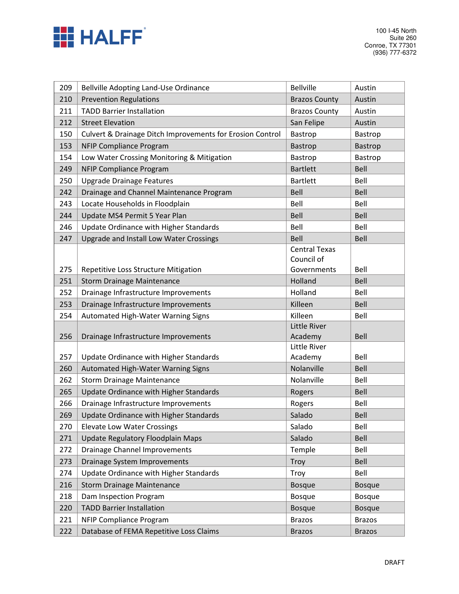

| 209        | Bellville Adopting Land-Use Ordinance                                            | <b>Bellville</b>     | Austin              |
|------------|----------------------------------------------------------------------------------|----------------------|---------------------|
| 210        | <b>Prevention Regulations</b>                                                    | <b>Brazos County</b> | Austin              |
| 211        | <b>TADD Barrier Installation</b>                                                 | <b>Brazos County</b> | Austin              |
| 212        | <b>Street Elevation</b>                                                          | San Felipe           | Austin              |
| 150        | Culvert & Drainage Ditch Improvements for Erosion Control                        | Bastrop              | Bastrop             |
| 153        | <b>NFIP Compliance Program</b>                                                   | Bastrop              | Bastrop             |
| 154        | Low Water Crossing Monitoring & Mitigation                                       | Bastrop              | Bastrop             |
| 249        | <b>NFIP Compliance Program</b>                                                   | <b>Bartlett</b>      | Bell                |
| 250        | <b>Upgrade Drainage Features</b>                                                 | <b>Bartlett</b>      | Bell                |
| 242        | Drainage and Channel Maintenance Program                                         | Bell                 | Bell                |
| 243        | Locate Households in Floodplain                                                  | Bell                 | Bell                |
| 244        | Update MS4 Permit 5 Year Plan                                                    | Bell                 | <b>Bell</b>         |
| 246        | Update Ordinance with Higher Standards                                           | Bell                 | Bell                |
| 247        | <b>Upgrade and Install Low Water Crossings</b>                                   | Bell                 | Bell                |
|            |                                                                                  | <b>Central Texas</b> |                     |
|            |                                                                                  | Council of           |                     |
| 275        | Repetitive Loss Structure Mitigation                                             | Governments          | Bell                |
| 251        | <b>Storm Drainage Maintenance</b>                                                | Holland              | Bell                |
| 252        | Drainage Infrastructure Improvements                                             | Holland              | Bell                |
| 253        | Drainage Infrastructure Improvements                                             | Killeen              | Bell                |
|            |                                                                                  |                      |                     |
| 254        | Automated High-Water Warning Signs                                               | Killeen              | Bell                |
|            |                                                                                  | Little River         |                     |
| 256        | Drainage Infrastructure Improvements                                             | Academy              | <b>Bell</b>         |
|            |                                                                                  | Little River         |                     |
| 257        | Update Ordinance with Higher Standards                                           | Academy              | Bell                |
| 260        | Automated High-Water Warning Signs                                               | Nolanville           | Bell                |
| 262        | <b>Storm Drainage Maintenance</b>                                                | Nolanville           | Bell                |
| 265        | Update Ordinance with Higher Standards                                           | Rogers               | Bell                |
| 266<br>269 | Drainage Infrastructure Improvements                                             | Rogers<br>Salado     | Bell<br><b>Bell</b> |
|            | Update Ordinance with Higher Standards                                           |                      |                     |
| 270        | <b>Elevate Low Water Crossings</b>                                               | Salado               | Bell<br>Bell        |
| 271<br>272 | <b>Update Regulatory Floodplain Maps</b><br><b>Drainage Channel Improvements</b> | Salado<br>Temple     | Bell                |
| 273        | Drainage System Improvements                                                     | Troy                 | Bell                |
| 274        | Update Ordinance with Higher Standards                                           | Troy                 | Bell                |
| 216        | <b>Storm Drainage Maintenance</b>                                                | <b>Bosque</b>        | <b>Bosque</b>       |
| 218        | Dam Inspection Program                                                           | <b>Bosque</b>        | <b>Bosque</b>       |
| 220        | <b>TADD Barrier Installation</b>                                                 | <b>Bosque</b>        | <b>Bosque</b>       |
| 221        | <b>NFIP Compliance Program</b>                                                   | <b>Brazos</b>        | <b>Brazos</b>       |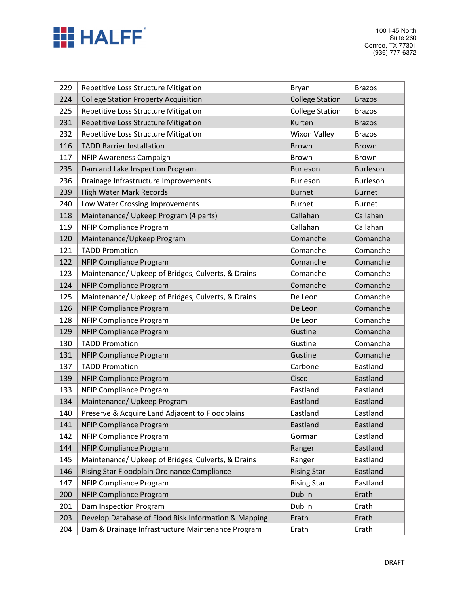

| 229 | Repetitive Loss Structure Mitigation                 | <b>Bryan</b>           | <b>Brazos</b>   |
|-----|------------------------------------------------------|------------------------|-----------------|
| 224 | <b>College Station Property Acquisition</b>          | <b>College Station</b> | <b>Brazos</b>   |
| 225 | Repetitive Loss Structure Mitigation                 | <b>College Station</b> | <b>Brazos</b>   |
| 231 | Repetitive Loss Structure Mitigation                 | Kurten                 | <b>Brazos</b>   |
| 232 | Repetitive Loss Structure Mitigation                 | <b>Wixon Valley</b>    | <b>Brazos</b>   |
| 116 | <b>TADD Barrier Installation</b>                     | <b>Brown</b>           | <b>Brown</b>    |
| 117 | NFIP Awareness Campaign                              | <b>Brown</b>           | <b>Brown</b>    |
| 235 | Dam and Lake Inspection Program                      | <b>Burleson</b>        | <b>Burleson</b> |
| 236 | Drainage Infrastructure Improvements                 | <b>Burleson</b>        | Burleson        |
| 239 | <b>High Water Mark Records</b>                       | <b>Burnet</b>          | <b>Burnet</b>   |
| 240 | Low Water Crossing Improvements                      | <b>Burnet</b>          | <b>Burnet</b>   |
| 118 | Maintenance/ Upkeep Program (4 parts)                | Callahan               | Callahan        |
| 119 | <b>NFIP Compliance Program</b>                       | Callahan               | Callahan        |
| 120 | Maintenance/Upkeep Program                           | Comanche               | Comanche        |
| 121 | <b>TADD Promotion</b>                                | Comanche               | Comanche        |
| 122 | <b>NFIP Compliance Program</b>                       | Comanche               | Comanche        |
| 123 | Maintenance/ Upkeep of Bridges, Culverts, & Drains   | Comanche               | Comanche        |
| 124 | <b>NFIP Compliance Program</b>                       | Comanche               | Comanche        |
| 125 | Maintenance/ Upkeep of Bridges, Culverts, & Drains   | De Leon                | Comanche        |
| 126 | <b>NFIP Compliance Program</b>                       | De Leon                | Comanche        |
| 128 | <b>NFIP Compliance Program</b>                       | De Leon                | Comanche        |
| 129 | <b>NFIP Compliance Program</b>                       | Gustine                | Comanche        |
| 130 | <b>TADD Promotion</b>                                | Gustine                | Comanche        |
| 131 | <b>NFIP Compliance Program</b>                       | Gustine                | Comanche        |
| 137 | <b>TADD Promotion</b>                                | Carbone                | Eastland        |
| 139 | <b>NFIP Compliance Program</b>                       | Cisco                  | Eastland        |
| 133 | <b>NFIP Compliance Program</b>                       | Eastland               | Eastland        |
| 134 | Maintenance/ Upkeep Program                          | Eastland               | Eastland        |
| 140 | Preserve & Acquire Land Adjacent to Floodplains      | Eastland               | Eastland        |
| 141 | <b>NFIP Compliance Program</b>                       | Eastland               | Eastland        |
| 142 | <b>NFIP Compliance Program</b>                       | Gorman                 | Eastland        |
| 144 | <b>NFIP Compliance Program</b>                       | Ranger                 | Eastland        |
| 145 | Maintenance/ Upkeep of Bridges, Culverts, & Drains   | Ranger                 | Eastland        |
| 146 | Rising Star Floodplain Ordinance Compliance          | <b>Rising Star</b>     | Eastland        |
| 147 | <b>NFIP Compliance Program</b>                       | <b>Rising Star</b>     | Eastland        |
| 200 | <b>NFIP Compliance Program</b>                       | Dublin                 | Erath           |
| 201 | Dam Inspection Program                               | Dublin                 | Erath           |
| 203 | Develop Database of Flood Risk Information & Mapping | Erath                  | Erath           |
| 204 | Dam & Drainage Infrastructure Maintenance Program    | Erath                  | Erath           |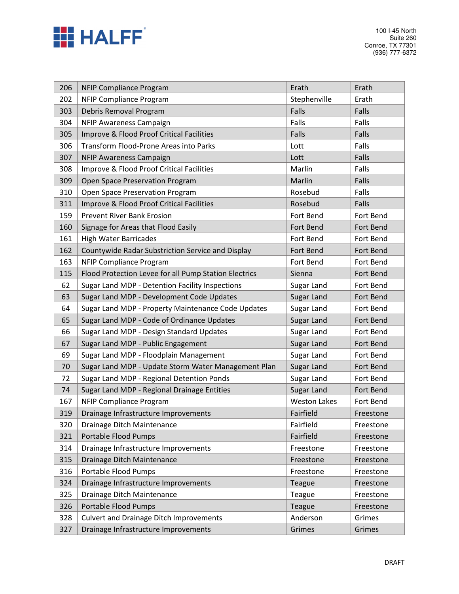

| 206 | <b>NFIP Compliance Program</b>                        | Erath               | Erath     |
|-----|-------------------------------------------------------|---------------------|-----------|
| 202 | <b>NFIP Compliance Program</b>                        | Stephenville        | Erath     |
| 303 | Debris Removal Program                                | Falls               | Falls     |
| 304 | NFIP Awareness Campaign                               | Falls               | Falls     |
| 305 | Improve & Flood Proof Critical Facilities             | Falls               | Falls     |
| 306 | <b>Transform Flood-Prone Areas into Parks</b>         | Lott                | Falls     |
| 307 | NFIP Awareness Campaign                               | Lott                | Falls     |
| 308 | Improve & Flood Proof Critical Facilities             | Marlin              | Falls     |
| 309 | Open Space Preservation Program                       | Marlin              | Falls     |
| 310 | Open Space Preservation Program                       | Rosebud             | Falls     |
| 311 | Improve & Flood Proof Critical Facilities             | Rosebud             | Falls     |
| 159 | <b>Prevent River Bank Erosion</b>                     | Fort Bend           | Fort Bend |
| 160 | Signage for Areas that Flood Easily                   | Fort Bend           | Fort Bend |
| 161 | <b>High Water Barricades</b>                          | Fort Bend           | Fort Bend |
| 162 | Countywide Radar Substriction Service and Display     | Fort Bend           | Fort Bend |
| 163 | <b>NFIP Compliance Program</b>                        | Fort Bend           | Fort Bend |
| 115 | Flood Protection Levee for all Pump Station Electrics | Sienna              | Fort Bend |
| 62  | Sugar Land MDP - Detention Facility Inspections       | Sugar Land          | Fort Bend |
| 63  | Sugar Land MDP - Development Code Updates             | Sugar Land          | Fort Bend |
| 64  | Sugar Land MDP - Property Maintenance Code Updates    | Sugar Land          | Fort Bend |
| 65  | Sugar Land MDP - Code of Ordinance Updates            | Sugar Land          | Fort Bend |
| 66  | Sugar Land MDP - Design Standard Updates              | Sugar Land          | Fort Bend |
| 67  | Sugar Land MDP - Public Engagement                    | Sugar Land          | Fort Bend |
| 69  | Sugar Land MDP - Floodplain Management                | Sugar Land          | Fort Bend |
| 70  | Sugar Land MDP - Update Storm Water Management Plan   | Sugar Land          | Fort Bend |
| 72  | Sugar Land MDP - Regional Detention Ponds             | Sugar Land          | Fort Bend |
| 74  | Sugar Land MDP - Regional Drainage Entities           | Sugar Land          | Fort Bend |
| 167 | <b>NFIP Compliance Program</b>                        | <b>Weston Lakes</b> | Fort Bend |
| 319 | Drainage Infrastructure Improvements                  | Fairfield           | Freestone |
| 320 | Drainage Ditch Maintenance                            | Fairfield           | Freestone |
| 321 | Portable Flood Pumps                                  | Fairfield           | Freestone |
| 314 | Drainage Infrastructure Improvements                  | Freestone           | Freestone |
| 315 | Drainage Ditch Maintenance                            | Freestone           | Freestone |
| 316 | Portable Flood Pumps                                  | Freestone           | Freestone |
| 324 | Drainage Infrastructure Improvements                  | Teague              | Freestone |
| 325 | Drainage Ditch Maintenance                            | Teague              | Freestone |
| 326 | Portable Flood Pumps                                  | Teague              | Freestone |
| 328 | <b>Culvert and Drainage Ditch Improvements</b>        | Anderson            | Grimes    |
| 327 | Drainage Infrastructure Improvements                  | Grimes              | Grimes    |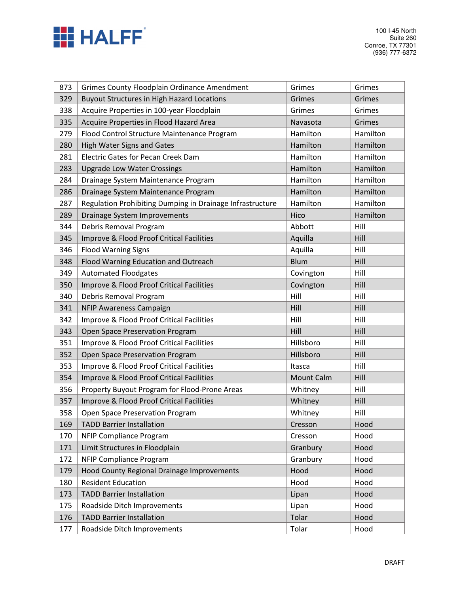

| 873 | <b>Grimes County Floodplain Ordinance Amendment</b>       | Grimes            | Grimes   |
|-----|-----------------------------------------------------------|-------------------|----------|
| 329 | <b>Buyout Structures in High Hazard Locations</b>         | Grimes            | Grimes   |
| 338 | Acquire Properties in 100-year Floodplain                 | Grimes            | Grimes   |
| 335 | Acquire Properties in Flood Hazard Area                   | Navasota          | Grimes   |
| 279 | Flood Control Structure Maintenance Program               | Hamilton          | Hamilton |
| 280 | High Water Signs and Gates                                | Hamilton          | Hamilton |
| 281 | <b>Electric Gates for Pecan Creek Dam</b>                 | Hamilton          | Hamilton |
| 283 | <b>Upgrade Low Water Crossings</b>                        | Hamilton          | Hamilton |
| 284 | Drainage System Maintenance Program                       | Hamilton          | Hamilton |
| 286 | Drainage System Maintenance Program                       | Hamilton          | Hamilton |
| 287 | Regulation Prohibiting Dumping in Drainage Infrastructure | Hamilton          | Hamilton |
| 289 | Drainage System Improvements                              | Hico              | Hamilton |
| 344 | Debris Removal Program                                    | Abbott            | Hill     |
| 345 | Improve & Flood Proof Critical Facilities                 | Aquilla           | Hill     |
| 346 | <b>Flood Warning Signs</b>                                | Aquilla           | Hill     |
| 348 | Flood Warning Education and Outreach                      | <b>Blum</b>       | Hill     |
| 349 | <b>Automated Floodgates</b>                               | Covington         | Hill     |
| 350 | Improve & Flood Proof Critical Facilities                 | Covington         | Hill     |
| 340 | Debris Removal Program                                    | Hill              | Hill     |
| 341 | NFIP Awareness Campaign                                   | Hill              | Hill     |
| 342 | Improve & Flood Proof Critical Facilities                 | Hill              | Hill     |
| 343 | Open Space Preservation Program                           | Hill              | Hill     |
| 351 | Improve & Flood Proof Critical Facilities                 | Hillsboro         | Hill     |
| 352 | Open Space Preservation Program                           | Hillsboro         | Hill     |
| 353 | Improve & Flood Proof Critical Facilities                 | Itasca            | Hill     |
| 354 | Improve & Flood Proof Critical Facilities                 | <b>Mount Calm</b> | Hill     |
| 356 | Property Buyout Program for Flood-Prone Areas             | Whitney           | Hill     |
| 357 | Improve & Flood Proof Critical Facilities                 | Whitney           | Hill     |
| 358 | Open Space Preservation Program                           | Whitney           | Hill     |
| 169 | <b>TADD Barrier Installation</b>                          | Cresson           | Hood     |
| 170 | <b>NFIP Compliance Program</b>                            | Cresson           | Hood     |
| 171 | Limit Structures in Floodplain                            | Granbury          | Hood     |
| 172 | <b>NFIP Compliance Program</b>                            | Granbury          | Hood     |
| 179 | Hood County Regional Drainage Improvements                | Hood              | Hood     |
| 180 | <b>Resident Education</b>                                 | Hood              | Hood     |
| 173 | <b>TADD Barrier Installation</b>                          | Lipan             | Hood     |
| 175 | Roadside Ditch Improvements                               | Lipan             | Hood     |
| 176 | <b>TADD Barrier Installation</b>                          | Tolar             | Hood     |
| 177 | Roadside Ditch Improvements                               | Tolar             | Hood     |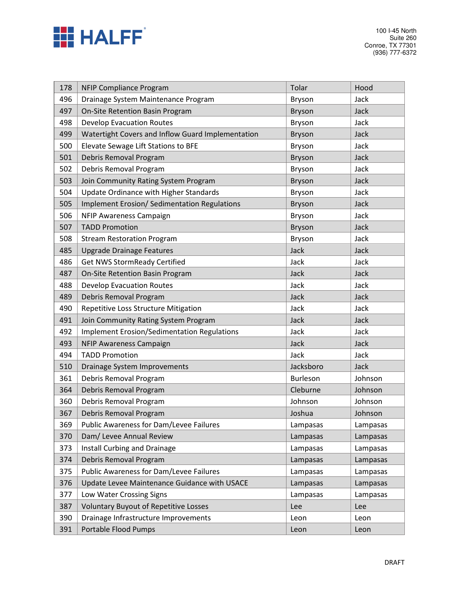

100 I-45 North Suite 260 Conroe, TX 77301 (936) 777-6372

| 178 | <b>NFIP Compliance Program</b>                      | Tolar         | Hood     |
|-----|-----------------------------------------------------|---------------|----------|
| 496 | Drainage System Maintenance Program                 | Bryson        | Jack     |
| 497 | On-Site Retention Basin Program                     | <b>Bryson</b> | Jack     |
| 498 | <b>Develop Evacuation Routes</b>                    | Bryson        | Jack     |
| 499 | Watertight Covers and Inflow Guard Implementation   | <b>Bryson</b> | Jack     |
| 500 | Elevate Sewage Lift Stations to BFE                 | Bryson        | Jack     |
| 501 | Debris Removal Program                              | <b>Bryson</b> | Jack     |
| 502 | Debris Removal Program                              | Bryson        | Jack     |
| 503 | Join Community Rating System Program                | <b>Bryson</b> | Jack     |
| 504 | Update Ordinance with Higher Standards              | <b>Bryson</b> | Jack     |
| 505 | <b>Implement Erosion/ Sedimentation Regulations</b> | <b>Bryson</b> | Jack     |
| 506 | NFIP Awareness Campaign                             | Bryson        | Jack     |
| 507 | <b>TADD Promotion</b>                               | <b>Bryson</b> | Jack     |
| 508 | <b>Stream Restoration Program</b>                   | Bryson        | Jack     |
| 485 | <b>Upgrade Drainage Features</b>                    | Jack          | Jack     |
| 486 | <b>Get NWS StormReady Certified</b>                 | Jack          | Jack     |
| 487 | On-Site Retention Basin Program                     | Jack          | Jack     |
| 488 | <b>Develop Evacuation Routes</b>                    | Jack          | Jack     |
| 489 | Debris Removal Program                              | Jack          | Jack     |
| 490 | Repetitive Loss Structure Mitigation                | Jack          | Jack     |
| 491 | Join Community Rating System Program                | Jack          | Jack     |
| 492 | <b>Implement Erosion/Sedimentation Regulations</b>  | Jack          | Jack     |
| 493 | <b>NFIP Awareness Campaign</b>                      | Jack          | Jack     |
| 494 | <b>TADD Promotion</b>                               | Jack          | Jack     |
| 510 | Drainage System Improvements                        | Jacksboro     | Jack     |
| 361 | Debris Removal Program                              | Burleson      | Johnson  |
| 364 | Debris Removal Program                              | Cleburne      | Johnson  |
| 360 | Debris Removal Program                              | Johnson       | Johnson  |
| 367 | Debris Removal Program                              | Joshua        | Johnson  |
| 369 | Public Awareness for Dam/Levee Failures             | Lampasas      | Lampasas |
| 370 | Dam/ Levee Annual Review                            | Lampasas      | Lampasas |
| 373 | Install Curbing and Drainage                        | Lampasas      | Lampasas |
| 374 | Debris Removal Program                              | Lampasas      | Lampasas |
| 375 | Public Awareness for Dam/Levee Failures             | Lampasas      | Lampasas |
| 376 | Update Levee Maintenance Guidance with USACE        | Lampasas      | Lampasas |
| 377 | Low Water Crossing Signs                            | Lampasas      | Lampasas |
| 387 | <b>Voluntary Buyout of Repetitive Losses</b>        | Lee           | Lee      |
| 390 | Drainage Infrastructure Improvements                | Leon          | Leon     |
| 391 | Portable Flood Pumps                                | Leon          | Leon     |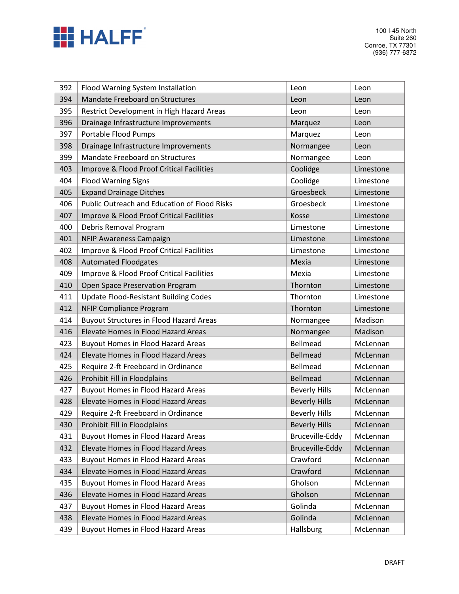

| 392 | Flood Warning System Installation                   | Leon                 | Leon      |
|-----|-----------------------------------------------------|----------------------|-----------|
| 394 | Mandate Freeboard on Structures                     | Leon                 | Leon      |
| 395 | Restrict Development in High Hazard Areas           | Leon                 | Leon      |
| 396 | Drainage Infrastructure Improvements                | Marquez              | Leon      |
| 397 | Portable Flood Pumps                                | Marquez              | Leon      |
| 398 | Drainage Infrastructure Improvements                | Normangee            | Leon      |
| 399 | Mandate Freeboard on Structures                     | Normangee            | Leon      |
| 403 | Improve & Flood Proof Critical Facilities           | Coolidge             | Limestone |
| 404 | <b>Flood Warning Signs</b>                          | Coolidge             | Limestone |
| 405 | <b>Expand Drainage Ditches</b>                      | Groesbeck            | Limestone |
| 406 | <b>Public Outreach and Education of Flood Risks</b> | Groesbeck            | Limestone |
| 407 | Improve & Flood Proof Critical Facilities           | Kosse                | Limestone |
| 400 | Debris Removal Program                              | Limestone            | Limestone |
| 401 | <b>NFIP Awareness Campaign</b>                      | Limestone            | Limestone |
| 402 | Improve & Flood Proof Critical Facilities           | Limestone            | Limestone |
| 408 | <b>Automated Floodgates</b>                         | Mexia                | Limestone |
| 409 | Improve & Flood Proof Critical Facilities           | Mexia                | Limestone |
| 410 | Open Space Preservation Program                     | Thornton             | Limestone |
| 411 | <b>Update Flood-Resistant Building Codes</b>        | Thornton             | Limestone |
| 412 | <b>NFIP Compliance Program</b>                      | Thornton             | Limestone |
| 414 | <b>Buyout Structures in Flood Hazard Areas</b>      | Normangee            | Madison   |
| 416 | Elevate Homes in Flood Hazard Areas                 | Normangee            | Madison   |
| 423 | <b>Buyout Homes in Flood Hazard Areas</b>           | <b>Bellmead</b>      | McLennan  |
| 424 | Elevate Homes in Flood Hazard Areas                 | <b>Bellmead</b>      | McLennan  |
| 425 | Require 2-ft Freeboard in Ordinance                 | <b>Bellmead</b>      | McLennan  |
| 426 | Prohibit Fill in Floodplains                        | <b>Bellmead</b>      | McLennan  |
| 427 | <b>Buyout Homes in Flood Hazard Areas</b>           | <b>Beverly Hills</b> | McLennan  |
| 428 | Elevate Homes in Flood Hazard Areas                 | <b>Beverly Hills</b> | McLennan  |
| 429 | Require 2-ft Freeboard in Ordinance                 | <b>Beverly Hills</b> | McLennan  |
| 430 | Prohibit Fill in Floodplains                        | <b>Beverly Hills</b> | McLennan  |
| 431 | <b>Buyout Homes in Flood Hazard Areas</b>           | Bruceville-Eddy      | McLennan  |
| 432 | Elevate Homes in Flood Hazard Areas                 | Bruceville-Eddy      | McLennan  |
| 433 | <b>Buyout Homes in Flood Hazard Areas</b>           | Crawford             | McLennan  |
| 434 | Elevate Homes in Flood Hazard Areas                 | Crawford             | McLennan  |
| 435 | <b>Buyout Homes in Flood Hazard Areas</b>           | Gholson              | McLennan  |
| 436 | Elevate Homes in Flood Hazard Areas                 | Gholson              | McLennan  |
| 437 | <b>Buyout Homes in Flood Hazard Areas</b>           | Golinda              | McLennan  |
| 438 | Elevate Homes in Flood Hazard Areas                 | Golinda              | McLennan  |
| 439 | <b>Buyout Homes in Flood Hazard Areas</b>           | Hallsburg            | McLennan  |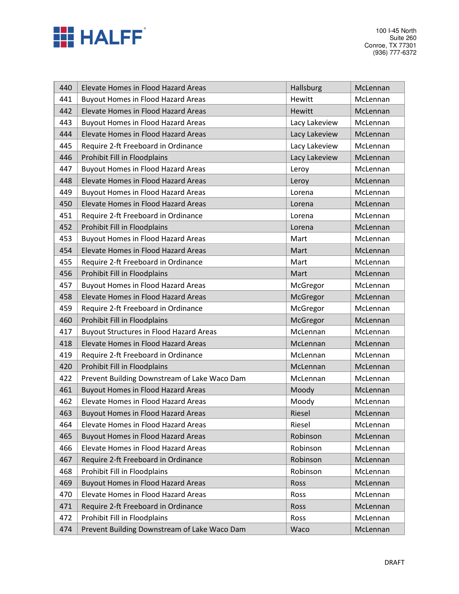

| 440 | Elevate Homes in Flood Hazard Areas            | <b>Hallsburg</b> | McLennan |
|-----|------------------------------------------------|------------------|----------|
| 441 | <b>Buyout Homes in Flood Hazard Areas</b>      | Hewitt           | McLennan |
| 442 | Elevate Homes in Flood Hazard Areas            | Hewitt           | McLennan |
| 443 | <b>Buyout Homes in Flood Hazard Areas</b>      | Lacy Lakeview    | McLennan |
| 444 | Elevate Homes in Flood Hazard Areas            | Lacy Lakeview    | McLennan |
| 445 | Require 2-ft Freeboard in Ordinance            | Lacy Lakeview    | McLennan |
| 446 | Prohibit Fill in Floodplains                   | Lacy Lakeview    | McLennan |
| 447 | <b>Buyout Homes in Flood Hazard Areas</b>      | Leroy            | McLennan |
| 448 | Elevate Homes in Flood Hazard Areas            | Leroy            | McLennan |
| 449 | <b>Buyout Homes in Flood Hazard Areas</b>      | Lorena           | McLennan |
| 450 | Elevate Homes in Flood Hazard Areas            | Lorena           | McLennan |
| 451 | Require 2-ft Freeboard in Ordinance            | Lorena           | McLennan |
| 452 | Prohibit Fill in Floodplains                   | Lorena           | McLennan |
| 453 | <b>Buyout Homes in Flood Hazard Areas</b>      | Mart             | McLennan |
| 454 | Elevate Homes in Flood Hazard Areas            | Mart             | McLennan |
| 455 | Require 2-ft Freeboard in Ordinance            | Mart             | McLennan |
| 456 | Prohibit Fill in Floodplains                   | Mart             | McLennan |
| 457 | <b>Buyout Homes in Flood Hazard Areas</b>      | McGregor         | McLennan |
| 458 | Elevate Homes in Flood Hazard Areas            | McGregor         | McLennan |
| 459 | Require 2-ft Freeboard in Ordinance            | McGregor         | McLennan |
| 460 | Prohibit Fill in Floodplains                   | McGregor         | McLennan |
| 417 | <b>Buyout Structures in Flood Hazard Areas</b> | McLennan         | McLennan |
| 418 | Elevate Homes in Flood Hazard Areas            | McLennan         | McLennan |
| 419 | Require 2-ft Freeboard in Ordinance            | McLennan         | McLennan |
| 420 | Prohibit Fill in Floodplains                   | McLennan         | McLennan |
| 422 | Prevent Building Downstream of Lake Waco Dam   | McLennan         | McLennan |
| 461 | <b>Buyout Homes in Flood Hazard Areas</b>      | Moody            | McLennan |
| 462 | Elevate Homes in Flood Hazard Areas            | Moody            | McLennan |
| 463 | <b>Buyout Homes in Flood Hazard Areas</b>      | Riesel           | McLennan |
| 464 | Elevate Homes in Flood Hazard Areas            | Riesel           | McLennan |
| 465 | <b>Buyout Homes in Flood Hazard Areas</b>      | Robinson         | McLennan |
| 466 | Elevate Homes in Flood Hazard Areas            | Robinson         | McLennan |
| 467 | Require 2-ft Freeboard in Ordinance            | Robinson         | McLennan |
| 468 | Prohibit Fill in Floodplains                   | Robinson         | McLennan |
| 469 | <b>Buyout Homes in Flood Hazard Areas</b>      | Ross             | McLennan |
| 470 | Elevate Homes in Flood Hazard Areas            | Ross             | McLennan |
| 471 | Require 2-ft Freeboard in Ordinance            | Ross             | McLennan |
| 472 | Prohibit Fill in Floodplains                   | Ross             | McLennan |
| 474 | Prevent Building Downstream of Lake Waco Dam   | Waco             | McLennan |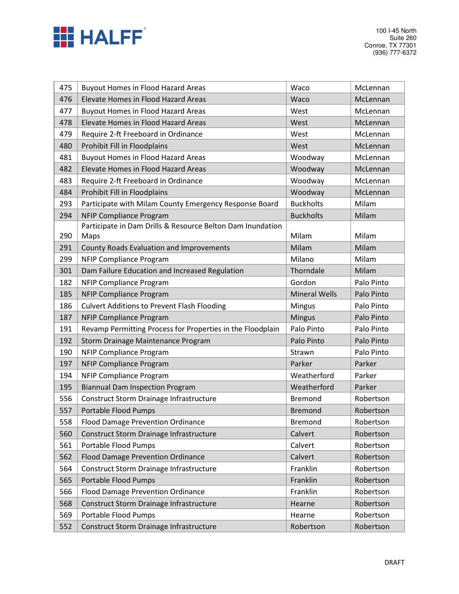

| 475 | <b>Buyout Homes in Flood Hazard Areas</b>                  | Waco                 | McLennan   |
|-----|------------------------------------------------------------|----------------------|------------|
| 476 | Elevate Homes in Flood Hazard Areas                        | Waco                 | McLennan   |
| 477 | <b>Buyout Homes in Flood Hazard Areas</b>                  | West                 | McLennan   |
| 478 | Elevate Homes in Flood Hazard Areas                        | West                 | McLennan   |
| 479 | Require 2-ft Freeboard in Ordinance                        | West                 | McLennan   |
| 480 | Prohibit Fill in Floodplains                               | West                 | McLennan   |
| 481 | <b>Buyout Homes in Flood Hazard Areas</b>                  | Woodway              | McLennan   |
| 482 | Elevate Homes in Flood Hazard Areas                        | Woodway              | McLennan   |
| 483 | Require 2-ft Freeboard in Ordinance                        | Woodway              | McLennan   |
| 484 | Prohibit Fill in Floodplains                               | Woodway              | McLennan   |
| 293 | Participate with Milam County Emergency Response Board     | <b>Buckholts</b>     | Milam      |
| 294 | <b>NFIP Compliance Program</b>                             | <b>Buckholts</b>     | Milam      |
|     | Participate in Dam Drills & Resource Belton Dam Inundation |                      |            |
| 290 | Maps                                                       | Milam                | Milam      |
| 291 | County Roads Evaluation and Improvements                   | Milam                | Milam      |
| 299 | <b>NFIP Compliance Program</b>                             | Milano               | Milam      |
| 301 | Dam Failure Education and Increased Regulation             | Thorndale            | Milam      |
| 182 | <b>NFIP Compliance Program</b>                             | Gordon               | Palo Pinto |
| 185 | <b>NFIP Compliance Program</b>                             | <b>Mineral Wells</b> | Palo Pinto |
| 186 | <b>Culvert Additions to Prevent Flash Flooding</b>         | Mingus               | Palo Pinto |
| 187 | <b>NFIP Compliance Program</b>                             | <b>Mingus</b>        | Palo Pinto |
| 191 | Revamp Permitting Process for Properties in the Floodplain | Palo Pinto           | Palo Pinto |
| 192 | Storm Drainage Maintenance Program                         | Palo Pinto           | Palo Pinto |
| 190 | <b>NFIP Compliance Program</b>                             | Strawn               | Palo Pinto |
| 197 | <b>NFIP Compliance Program</b>                             | Parker               | Parker     |
| 194 | <b>NFIP Compliance Program</b>                             | Weatherford          | Parker     |
| 195 | <b>Biannual Dam Inspection Program</b>                     | Weatherford          | Parker     |
| 556 | Construct Storm Drainage Infrastructure                    | <b>Bremond</b>       | Robertson  |
| 557 | Portable Flood Pumps                                       | <b>Bremond</b>       | Robertson  |
| 558 | <b>Flood Damage Prevention Ordinance</b>                   | <b>Bremond</b>       | Robertson  |
| 560 | Construct Storm Drainage Infrastructure                    | Calvert              | Robertson  |
| 561 | Portable Flood Pumps                                       | Calvert              | Robertson  |
| 562 | <b>Flood Damage Prevention Ordinance</b>                   | Calvert              | Robertson  |
| 564 | Construct Storm Drainage Infrastructure                    | Franklin             | Robertson  |
| 565 | Portable Flood Pumps                                       | Franklin             | Robertson  |
| 566 | <b>Flood Damage Prevention Ordinance</b>                   | Franklin             | Robertson  |
| 568 | Construct Storm Drainage Infrastructure                    | Hearne               | Robertson  |
| 569 | Portable Flood Pumps                                       | Hearne               | Robertson  |
| 552 | Construct Storm Drainage Infrastructure                    | Robertson            | Robertson  |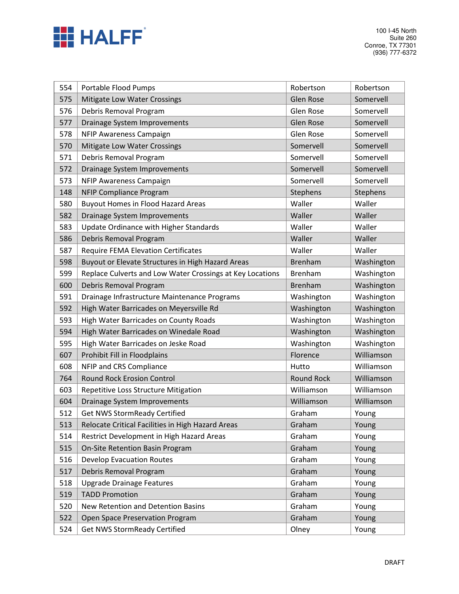

| 554 | Portable Flood Pumps                                      | Robertson         | Robertson  |
|-----|-----------------------------------------------------------|-------------------|------------|
| 575 | Mitigate Low Water Crossings                              | <b>Glen Rose</b>  | Somervell  |
| 576 | Debris Removal Program                                    | Glen Rose         | Somervell  |
| 577 | Drainage System Improvements                              | <b>Glen Rose</b>  | Somervell  |
| 578 | NFIP Awareness Campaign                                   | Glen Rose         | Somervell  |
| 570 | Mitigate Low Water Crossings                              | Somervell         | Somervell  |
| 571 | Debris Removal Program                                    | Somervell         | Somervell  |
| 572 | Drainage System Improvements                              | Somervell         | Somervell  |
| 573 | NFIP Awareness Campaign                                   | Somervell         | Somervell  |
| 148 | <b>NFIP Compliance Program</b>                            | Stephens          | Stephens   |
| 580 | <b>Buyout Homes in Flood Hazard Areas</b>                 | Waller            | Waller     |
| 582 | Drainage System Improvements                              | Waller            | Waller     |
| 583 | Update Ordinance with Higher Standards                    | Waller            | Waller     |
| 586 | Debris Removal Program                                    | Waller            | Waller     |
| 587 | <b>Require FEMA Elevation Certificates</b>                | Waller            | Waller     |
| 598 | Buyout or Elevate Structures in High Hazard Areas         | <b>Brenham</b>    | Washington |
| 599 | Replace Culverts and Low Water Crossings at Key Locations | <b>Brenham</b>    | Washington |
| 600 | Debris Removal Program                                    | <b>Brenham</b>    | Washington |
| 591 | Drainage Infrastructure Maintenance Programs              | Washington        | Washington |
| 592 | High Water Barricades on Meyersville Rd                   | Washington        | Washington |
| 593 | High Water Barricades on County Roads                     | Washington        | Washington |
| 594 | High Water Barricades on Winedale Road                    | Washington        | Washington |
| 595 | High Water Barricades on Jeske Road                       | Washington        | Washington |
| 607 | Prohibit Fill in Floodplains                              | Florence          | Williamson |
| 608 | NFIP and CRS Compliance                                   | Hutto             | Williamson |
| 764 | <b>Round Rock Erosion Control</b>                         | <b>Round Rock</b> | Williamson |
| 603 | Repetitive Loss Structure Mitigation                      | Williamson        | Williamson |
| 604 | Drainage System Improvements                              | Williamson        | Williamson |
| 512 | <b>Get NWS StormReady Certified</b>                       | Graham            | Young      |
| 513 | Relocate Critical Facilities in High Hazard Areas         | Graham            | Young      |
| 514 | Restrict Development in High Hazard Areas                 | Graham            | Young      |
| 515 | On-Site Retention Basin Program                           | Graham            | Young      |
| 516 | <b>Develop Evacuation Routes</b>                          | Graham            | Young      |
| 517 | Debris Removal Program                                    | Graham            | Young      |
| 518 | <b>Upgrade Drainage Features</b>                          | Graham            | Young      |
| 519 | <b>TADD Promotion</b>                                     | Graham            | Young      |
| 520 | New Retention and Detention Basins                        | Graham            | Young      |
| 522 | Open Space Preservation Program                           | Graham            | Young      |
| 524 | <b>Get NWS StormReady Certified</b>                       | Olney             | Young      |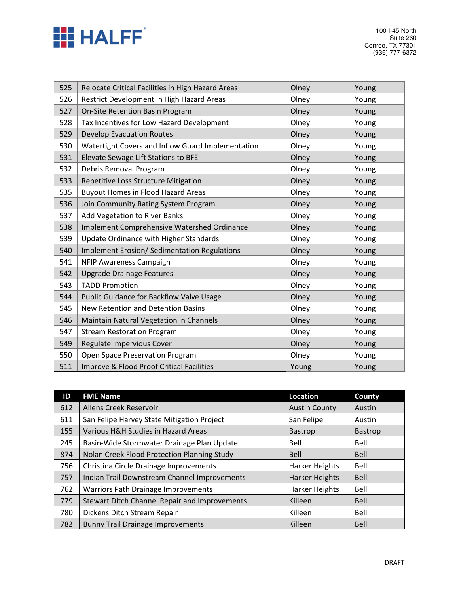

| 525 | Relocate Critical Facilities in High Hazard Areas | Olney | Young |
|-----|---------------------------------------------------|-------|-------|
| 526 | Restrict Development in High Hazard Areas         | Olney | Young |
| 527 | On-Site Retention Basin Program                   | Olney | Young |
| 528 | Tax Incentives for Low Hazard Development         | Olney | Young |
| 529 | <b>Develop Evacuation Routes</b>                  | Olney | Young |
| 530 | Watertight Covers and Inflow Guard Implementation | Olney | Young |
| 531 | Elevate Sewage Lift Stations to BFE               | Olney | Young |
| 532 | Debris Removal Program                            | Olney | Young |
| 533 | Repetitive Loss Structure Mitigation              | Olney | Young |
| 535 | <b>Buyout Homes in Flood Hazard Areas</b>         | Olney | Young |
| 536 | Join Community Rating System Program              | Olney | Young |
| 537 | Add Vegetation to River Banks                     | Olney | Young |
| 538 | Implement Comprehensive Watershed Ordinance       | Olney | Young |
| 539 | Update Ordinance with Higher Standards            | Olney | Young |
| 540 | Implement Erosion/ Sedimentation Regulations      | Olney | Young |
| 541 | NFIP Awareness Campaign                           | Olney | Young |
| 542 | <b>Upgrade Drainage Features</b>                  | Olney | Young |
| 543 | <b>TADD Promotion</b>                             | Olney | Young |
| 544 | Public Guidance for Backflow Valve Usage          | Olney | Young |
| 545 | New Retention and Detention Basins                | Olney | Young |
| 546 | Maintain Natural Vegetation in Channels           | Olney | Young |
| 547 | <b>Stream Restoration Program</b>                 | Olney | Young |
| 549 | Regulate Impervious Cover                         | Olney | Young |
| 550 | Open Space Preservation Program                   | Olney | Young |
| 511 | Improve & Flood Proof Critical Facilities         | Young | Young |

| ID  | <b>FME Name</b>                                      | <b>Location</b>       | County         |
|-----|------------------------------------------------------|-----------------------|----------------|
| 612 | Allens Creek Reservoir                               | <b>Austin County</b>  | Austin         |
| 611 | San Felipe Harvey State Mitigation Project           | San Felipe            | Austin         |
| 155 | Various H&H Studies in Hazard Areas                  | <b>Bastrop</b>        | <b>Bastrop</b> |
| 245 | Basin-Wide Stormwater Drainage Plan Update           | Bell                  | Bell           |
| 874 | Nolan Creek Flood Protection Planning Study          | <b>Bell</b>           | <b>Bell</b>    |
| 756 | Christina Circle Drainage Improvements               | <b>Harker Heights</b> | Bell           |
| 757 | Indian Trail Downstream Channel Improvements         | <b>Harker Heights</b> | Bell           |
| 762 | <b>Warriors Path Drainage Improvements</b>           | <b>Harker Heights</b> | Bell           |
| 779 | <b>Stewart Ditch Channel Repair and Improvements</b> | Killeen               | <b>Bell</b>    |
| 780 | Dickens Ditch Stream Repair                          | Killeen               | Bell           |
| 782 | <b>Bunny Trail Drainage Improvements</b>             | Killeen               | <b>Bell</b>    |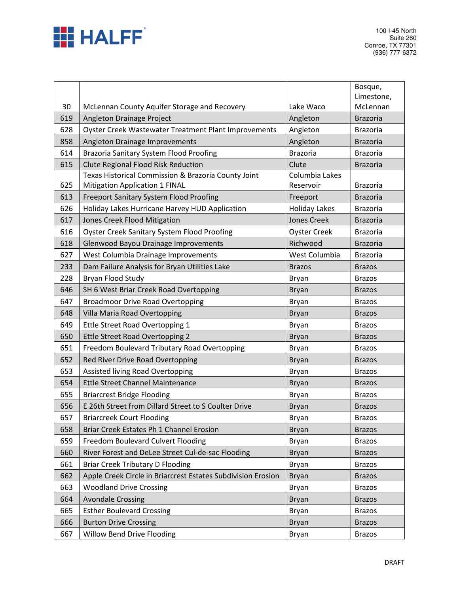

|     |                                                                                                   |                         | Bosque,                |
|-----|---------------------------------------------------------------------------------------------------|-------------------------|------------------------|
| 30  | McLennan County Aquifer Storage and Recovery                                                      | Lake Waco               | Limestone,<br>McLennan |
| 619 | Angleton Drainage Project                                                                         | Angleton                | <b>Brazoria</b>        |
| 628 | Oyster Creek Wastewater Treatment Plant Improvements                                              | Angleton                | <b>Brazoria</b>        |
| 858 | Angleton Drainage Improvements                                                                    | Angleton                | <b>Brazoria</b>        |
| 614 | <b>Brazoria Sanitary System Flood Proofing</b>                                                    | <b>Brazoria</b>         | <b>Brazoria</b>        |
|     |                                                                                                   |                         |                        |
| 615 | <b>Clute Regional Flood Risk Reduction</b><br>Texas Historical Commission & Brazoria County Joint | Clute<br>Columbia Lakes | <b>Brazoria</b>        |
| 625 | Mitigation Application 1 FINAL                                                                    | Reservoir               | <b>Brazoria</b>        |
| 613 | <b>Freeport Sanitary System Flood Proofing</b>                                                    | Freeport                | <b>Brazoria</b>        |
| 626 | Holiday Lakes Hurricane Harvey HUD Application                                                    | <b>Holiday Lakes</b>    | <b>Brazoria</b>        |
| 617 | Jones Creek Flood Mitigation                                                                      | <b>Jones Creek</b>      | <b>Brazoria</b>        |
| 616 | <b>Oyster Creek Sanitary System Flood Proofing</b>                                                | <b>Oyster Creek</b>     | <b>Brazoria</b>        |
| 618 | Glenwood Bayou Drainage Improvements                                                              | Richwood                | <b>Brazoria</b>        |
| 627 | West Columbia Drainage Improvements                                                               | West Columbia           | <b>Brazoria</b>        |
| 233 | Dam Failure Analysis for Bryan Utilities Lake                                                     | <b>Brazos</b>           | <b>Brazos</b>          |
| 228 | Bryan Flood Study                                                                                 | Bryan                   | <b>Brazos</b>          |
| 646 | SH 6 West Briar Creek Road Overtopping                                                            | <b>Bryan</b>            | <b>Brazos</b>          |
| 647 | <b>Broadmoor Drive Road Overtopping</b>                                                           | Bryan                   | <b>Brazos</b>          |
| 648 | Villa Maria Road Overtopping                                                                      | <b>Bryan</b>            | <b>Brazos</b>          |
| 649 | Ettle Street Road Overtopping 1                                                                   | Bryan                   | <b>Brazos</b>          |
| 650 | Ettle Street Road Overtopping 2                                                                   | <b>Bryan</b>            | <b>Brazos</b>          |
| 651 | Freedom Boulevard Tributary Road Overtopping                                                      | Bryan                   | <b>Brazos</b>          |
| 652 | Red River Drive Road Overtopping                                                                  | <b>Bryan</b>            | <b>Brazos</b>          |
| 653 | Assisted living Road Overtopping                                                                  | Bryan                   | <b>Brazos</b>          |
| 654 | <b>Ettle Street Channel Maintenance</b>                                                           | <b>Bryan</b>            | <b>Brazos</b>          |
| 655 | <b>Briarcrest Bridge Flooding</b>                                                                 | Bryan                   | <b>Brazos</b>          |
| 656 | E 26th Street from Dillard Street to S Coulter Drive                                              | <b>Bryan</b>            | <b>Brazos</b>          |
| 657 | <b>Briarcreek Court Flooding</b>                                                                  | Bryan                   | <b>Brazos</b>          |
| 658 | Briar Creek Estates Ph 1 Channel Erosion                                                          | <b>Bryan</b>            | <b>Brazos</b>          |
| 659 | Freedom Boulevard Culvert Flooding                                                                | Bryan                   | <b>Brazos</b>          |
| 660 | River Forest and DeLee Street Cul-de-sac Flooding                                                 | <b>Bryan</b>            | <b>Brazos</b>          |
| 661 | <b>Briar Creek Tributary D Flooding</b>                                                           | Bryan                   | <b>Brazos</b>          |
| 662 | Apple Creek Circle in Briarcrest Estates Subdivision Erosion                                      | <b>Bryan</b>            | <b>Brazos</b>          |
| 663 | <b>Woodland Drive Crossing</b>                                                                    | Bryan                   | <b>Brazos</b>          |
| 664 | <b>Avondale Crossing</b>                                                                          | <b>Bryan</b>            | <b>Brazos</b>          |
| 665 | <b>Esther Boulevard Crossing</b>                                                                  | Bryan                   | <b>Brazos</b>          |
| 666 | <b>Burton Drive Crossing</b>                                                                      | <b>Bryan</b>            | <b>Brazos</b>          |
| 667 | Willow Bend Drive Flooding                                                                        | Bryan                   | <b>Brazos</b>          |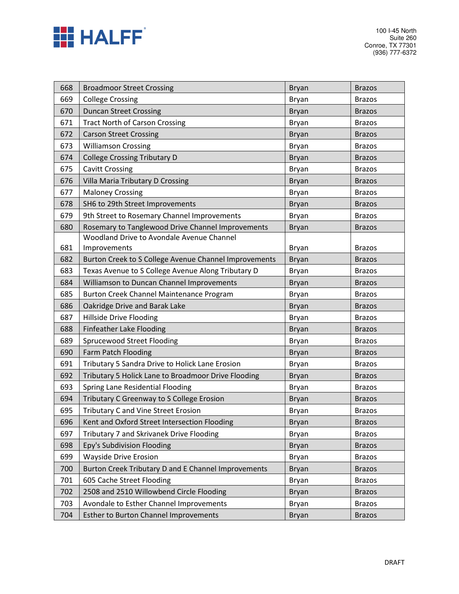

100 I-45 North Suite 260 Conroe, TX 77301 (936) 777-6372

| 668 | <b>Broadmoor Street Crossing</b>                      | <b>Bryan</b> | <b>Brazos</b> |
|-----|-------------------------------------------------------|--------------|---------------|
| 669 | <b>College Crossing</b>                               | Bryan        | <b>Brazos</b> |
| 670 | <b>Duncan Street Crossing</b>                         | <b>Bryan</b> | <b>Brazos</b> |
| 671 | <b>Tract North of Carson Crossing</b>                 | Bryan        | <b>Brazos</b> |
| 672 | <b>Carson Street Crossing</b>                         | <b>Bryan</b> | <b>Brazos</b> |
| 673 | <b>Williamson Crossing</b>                            | Bryan        | <b>Brazos</b> |
| 674 | <b>College Crossing Tributary D</b>                   | <b>Bryan</b> | <b>Brazos</b> |
| 675 | <b>Cavitt Crossing</b>                                | Bryan        | <b>Brazos</b> |
| 676 | Villa Maria Tributary D Crossing                      | Bryan        | <b>Brazos</b> |
| 677 | <b>Maloney Crossing</b>                               | Bryan        | <b>Brazos</b> |
| 678 | SH6 to 29th Street Improvements                       | <b>Bryan</b> | <b>Brazos</b> |
| 679 | 9th Street to Rosemary Channel Improvements           | <b>Bryan</b> | <b>Brazos</b> |
| 680 | Rosemary to Tanglewood Drive Channel Improvements     | <b>Bryan</b> | <b>Brazos</b> |
|     | Woodland Drive to Avondale Avenue Channel             |              |               |
| 681 | Improvements                                          | Bryan        | <b>Brazos</b> |
| 682 | Burton Creek to S College Avenue Channel Improvements | <b>Bryan</b> | <b>Brazos</b> |
| 683 | Texas Avenue to S College Avenue Along Tributary D    | Bryan        | <b>Brazos</b> |
| 684 | Williamson to Duncan Channel Improvements             | <b>Bryan</b> | <b>Brazos</b> |
| 685 | Burton Creek Channel Maintenance Program              | Bryan        | <b>Brazos</b> |
| 686 | Oakridge Drive and Barak Lake                         | <b>Bryan</b> | <b>Brazos</b> |
| 687 | Hillside Drive Flooding                               | <b>Bryan</b> | <b>Brazos</b> |
| 688 | Finfeather Lake Flooding                              | Bryan        | <b>Brazos</b> |
| 689 | <b>Sprucewood Street Flooding</b>                     | <b>Bryan</b> | <b>Brazos</b> |
| 690 | Farm Patch Flooding                                   | <b>Bryan</b> | <b>Brazos</b> |
| 691 | Tributary 5 Sandra Drive to Holick Lane Erosion       | Bryan        | <b>Brazos</b> |
| 692 | Tributary 5 Holick Lane to Broadmoor Drive Flooding   | <b>Bryan</b> | <b>Brazos</b> |
| 693 | Spring Lane Residential Flooding                      | Bryan        | <b>Brazos</b> |
| 694 | Tributary C Greenway to S College Erosion             | Bryan        | <b>Brazos</b> |
| 695 | <b>Tributary C and Vine Street Erosion</b>            | Bryan        | <b>Brazos</b> |
| 696 | Kent and Oxford Street Intersection Flooding          | <b>Bryan</b> | <b>Brazos</b> |
| 697 | Tributary 7 and Skrivanek Drive Flooding              | Bryan        | <b>Brazos</b> |
| 698 | Epy's Subdivision Flooding                            | <b>Bryan</b> | <b>Brazos</b> |
| 699 | <b>Wayside Drive Erosion</b>                          | <b>Bryan</b> | <b>Brazos</b> |
| 700 | Burton Creek Tributary D and E Channel Improvements   | <b>Bryan</b> | <b>Brazos</b> |
| 701 | 605 Cache Street Flooding                             | Bryan        | <b>Brazos</b> |
| 702 | 2508 and 2510 Willowbend Circle Flooding              | <b>Bryan</b> | <b>Brazos</b> |
| 703 | Avondale to Esther Channel Improvements               | <b>Bryan</b> | <b>Brazos</b> |
| 704 | <b>Esther to Burton Channel Improvements</b>          | <b>Bryan</b> | <b>Brazos</b> |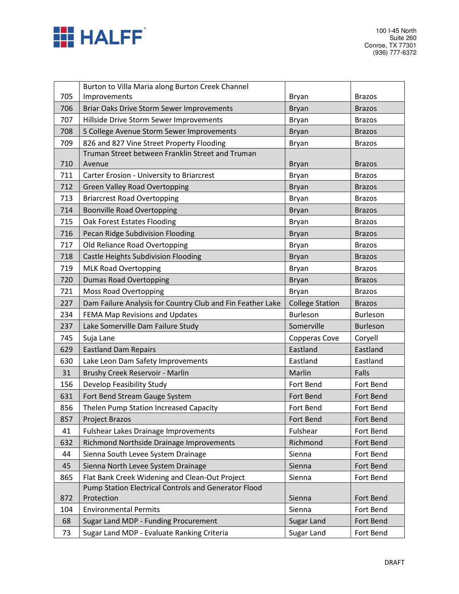

| 705<br>Improvements<br>Bryan<br><b>Brazos</b><br>706<br>Briar Oaks Drive Storm Sewer Improvements<br><b>Bryan</b><br><b>Brazos</b><br>707 |
|-------------------------------------------------------------------------------------------------------------------------------------------|
|                                                                                                                                           |
|                                                                                                                                           |
| Hillside Drive Storm Sewer Improvements<br><b>Bryan</b><br><b>Brazos</b>                                                                  |
| 708<br>S College Avenue Storm Sewer Improvements<br><b>Bryan</b><br><b>Brazos</b>                                                         |
| 709<br>826 and 827 Vine Street Property Flooding<br>Bryan<br><b>Brazos</b>                                                                |
| Truman Street between Franklin Street and Truman                                                                                          |
| 710<br>Avenue<br><b>Bryan</b><br><b>Brazos</b>                                                                                            |
| 711<br>Carter Erosion - University to Briarcrest<br><b>Bryan</b><br><b>Brazos</b>                                                         |
| 712<br><b>Green Valley Road Overtopping</b><br><b>Bryan</b><br><b>Brazos</b>                                                              |
| 713<br><b>Briarcrest Road Overtopping</b><br>Bryan<br><b>Brazos</b>                                                                       |
| 714<br><b>Boonville Road Overtopping</b><br><b>Bryan</b><br><b>Brazos</b>                                                                 |
| Oak Forest Estates Flooding<br>715<br>Bryan<br><b>Brazos</b>                                                                              |
| Pecan Ridge Subdivision Flooding<br>716<br><b>Bryan</b><br><b>Brazos</b>                                                                  |
| Old Reliance Road Overtopping<br>717<br>Bryan<br><b>Brazos</b>                                                                            |
| Castle Heights Subdivision Flooding<br>718<br><b>Bryan</b><br><b>Brazos</b>                                                               |
| 719<br><b>MLK Road Overtopping</b><br>Bryan<br><b>Brazos</b>                                                                              |
| 720<br><b>Dumas Road Overtopping</b><br><b>Bryan</b><br><b>Brazos</b>                                                                     |
| 721<br>Moss Road Overtopping<br>Bryan<br><b>Brazos</b>                                                                                    |
| 227<br>Dam Failure Analysis for Country Club and Fin Feather Lake<br><b>College Station</b><br><b>Brazos</b>                              |
| FEMA Map Revisions and Updates<br>234<br><b>Burleson</b><br>Burleson                                                                      |
| Lake Somerville Dam Failure Study<br>Somerville<br><b>Burleson</b><br>237                                                                 |
| 745<br>Suja Lane<br>Copperas Cove<br>Coryell                                                                                              |
| Eastland<br>Eastland<br>629<br><b>Eastland Dam Repairs</b>                                                                                |
| Eastland<br>Eastland<br>630<br>Lake Leon Dam Safety Improvements                                                                          |
| Brushy Creek Reservoir - Marlin<br>31<br>Marlin<br>Falls                                                                                  |
| Develop Feasibility Study<br>Fort Bend<br>156<br>Fort Bend                                                                                |
| Fort Bend Stream Gauge System<br>631<br>Fort Bend<br>Fort Bend                                                                            |
| Thelen Pump Station Increased Capacity<br>856<br>Fort Bend<br>Fort Bend                                                                   |
| 857<br>Project Brazos<br>Fort Bend<br>Fort Bend                                                                                           |
| Fulshear<br>Fort Bend<br>41<br><b>Fulshear Lakes Drainage Improvements</b>                                                                |
| Richmond<br>632<br>Richmond Northside Drainage Improvements<br>Fort Bend                                                                  |
| Sienna South Levee System Drainage<br>Sienna<br>44<br>Fort Bend                                                                           |
| Sienna North Levee System Drainage<br>Fort Bend<br>45<br>Sienna                                                                           |
| Flat Bank Creek Widening and Clean-Out Project<br>865<br>Sienna<br>Fort Bend                                                              |
| Pump Station Electrical Controls and Generator Flood<br>Protection<br>872<br>Fort Bend<br>Sienna                                          |
| Sienna<br>Fort Bend<br>104<br><b>Environmental Permits</b>                                                                                |
| Sugar Land MDP - Funding Procurement<br>Sugar Land<br>Fort Bend<br>68                                                                     |
| Sugar Land MDP - Evaluate Ranking Criteria<br>Sugar Land<br>Fort Bend<br>73                                                               |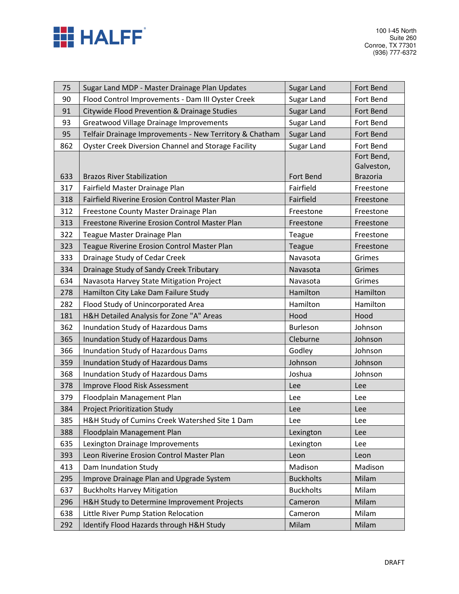

| 75  | Sugar Land MDP - Master Drainage Plan Updates           | Sugar Land       | Fort Bend       |
|-----|---------------------------------------------------------|------------------|-----------------|
| 90  | Flood Control Improvements - Dam III Oyster Creek       | Sugar Land       | Fort Bend       |
| 91  | Citywide Flood Prevention & Drainage Studies            | Sugar Land       | Fort Bend       |
| 93  | <b>Greatwood Village Drainage Improvements</b>          | Sugar Land       | Fort Bend       |
| 95  | Telfair Drainage Improvements - New Territory & Chatham | Sugar Land       | Fort Bend       |
| 862 | Oyster Creek Diversion Channel and Storage Facility     | Sugar Land       | Fort Bend       |
|     |                                                         |                  | Fort Bend,      |
|     |                                                         |                  | Galveston,      |
| 633 | <b>Brazos River Stabilization</b>                       | Fort Bend        | <b>Brazoria</b> |
| 317 | Fairfield Master Drainage Plan                          | Fairfield        | Freestone       |
| 318 | Fairfield Riverine Erosion Control Master Plan          | Fairfield        | Freestone       |
| 312 | Freestone County Master Drainage Plan                   | Freestone        | Freestone       |
| 313 | Freestone Riverine Erosion Control Master Plan          | Freestone        | Freestone       |
| 322 | Teague Master Drainage Plan                             | Teague           | Freestone       |
| 323 | Teague Riverine Erosion Control Master Plan             | Teague           | Freestone       |
| 333 | Drainage Study of Cedar Creek                           | Navasota         | Grimes          |
| 334 | Drainage Study of Sandy Creek Tributary                 | Navasota         | Grimes          |
| 634 | Navasota Harvey State Mitigation Project                | Navasota         | Grimes          |
| 278 | Hamilton City Lake Dam Failure Study                    | Hamilton         | Hamilton        |
| 282 | Flood Study of Unincorporated Area                      | Hamilton         | Hamilton        |
| 181 | H&H Detailed Analysis for Zone "A" Areas                | Hood             | Hood            |
| 362 | Inundation Study of Hazardous Dams                      | <b>Burleson</b>  | Johnson         |
| 365 | Inundation Study of Hazardous Dams                      | Cleburne         | Johnson         |
| 366 | Inundation Study of Hazardous Dams                      | Godley           | Johnson         |
| 359 | Inundation Study of Hazardous Dams                      | Johnson          | Johnson         |
| 368 | Inundation Study of Hazardous Dams                      | Joshua           | Johnson         |
| 378 | Improve Flood Risk Assessment                           | Lee              | Lee             |
| 379 | Floodplain Management Plan                              | Lee              | Lee             |
| 384 | <b>Project Prioritization Study</b>                     | Lee              | Lee             |
| 385 | H&H Study of Cumins Creek Watershed Site 1 Dam          | Lee              | Lee             |
| 388 | Floodplain Management Plan                              | Lexington        | Lee             |
| 635 | Lexington Drainage Improvements                         | Lexington        | Lee             |
| 393 | Leon Riverine Erosion Control Master Plan               | Leon             | Leon            |
| 413 | Dam Inundation Study                                    | Madison          | Madison         |
| 295 | Improve Drainage Plan and Upgrade System                | <b>Buckholts</b> | Milam           |
| 637 | <b>Buckholts Harvey Mitigation</b>                      | <b>Buckholts</b> | Milam           |
| 296 | H&H Study to Determine Improvement Projects             | Cameron          | Milam           |
| 638 | Little River Pump Station Relocation                    | Cameron          | Milam           |
| 292 | Identify Flood Hazards through H&H Study                | Milam            | Milam           |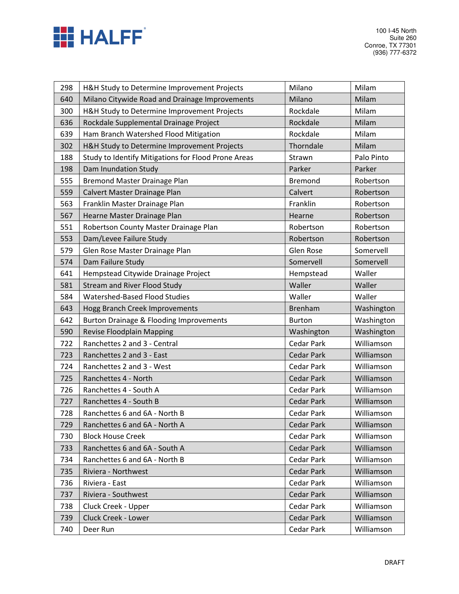

| 298 | H&H Study to Determine Improvement Projects         | Milano            | Milam      |
|-----|-----------------------------------------------------|-------------------|------------|
| 640 | Milano Citywide Road and Drainage Improvements      | Milano            | Milam      |
| 300 | H&H Study to Determine Improvement Projects         | Rockdale          | Milam      |
| 636 | Rockdale Supplemental Drainage Project              | Rockdale          | Milam      |
| 639 | Ham Branch Watershed Flood Mitigation               | Rockdale          | Milam      |
| 302 | H&H Study to Determine Improvement Projects         | Thorndale         | Milam      |
| 188 | Study to Identify Mitigations for Flood Prone Areas | Strawn            | Palo Pinto |
| 198 | Dam Inundation Study                                | Parker            | Parker     |
| 555 | <b>Bremond Master Drainage Plan</b>                 | <b>Bremond</b>    | Robertson  |
| 559 | Calvert Master Drainage Plan                        | Calvert           | Robertson  |
| 563 | Franklin Master Drainage Plan                       | Franklin          | Robertson  |
| 567 | Hearne Master Drainage Plan                         | Hearne            | Robertson  |
| 551 | Robertson County Master Drainage Plan               | Robertson         | Robertson  |
| 553 | Dam/Levee Failure Study                             | Robertson         | Robertson  |
| 579 | Glen Rose Master Drainage Plan                      | Glen Rose         | Somervell  |
| 574 | Dam Failure Study                                   | Somervell         | Somervell  |
| 641 | Hempstead Citywide Drainage Project                 | Hempstead         | Waller     |
| 581 | <b>Stream and River Flood Study</b>                 | Waller            | Waller     |
| 584 | Watershed-Based Flood Studies                       | Waller            | Waller     |
| 643 | Hogg Branch Creek Improvements                      | <b>Brenham</b>    | Washington |
| 642 | <b>Burton Drainage &amp; Flooding Improvements</b>  | <b>Burton</b>     | Washington |
| 590 | Revise Floodplain Mapping                           | Washington        | Washington |
| 722 | Ranchettes 2 and 3 - Central                        | <b>Cedar Park</b> | Williamson |
| 723 | Ranchettes 2 and 3 - East                           | <b>Cedar Park</b> | Williamson |
| 724 | Ranchettes 2 and 3 - West                           | Cedar Park        | Williamson |
| 725 | Ranchettes 4 - North                                | <b>Cedar Park</b> | Williamson |
| 726 | Ranchettes 4 - South A                              | <b>Cedar Park</b> | Williamson |
| 727 | Ranchettes 4 - South B                              | Cedar Park        | Williamson |
| 728 | Ranchettes 6 and 6A - North B                       | <b>Cedar Park</b> | Williamson |
| 729 | Ranchettes 6 and 6A - North A                       | <b>Cedar Park</b> | Williamson |
| 730 | <b>Block House Creek</b>                            | Cedar Park        | Williamson |
| 733 | Ranchettes 6 and 6A - South A                       | <b>Cedar Park</b> | Williamson |
| 734 | Ranchettes 6 and 6A - North B                       | Cedar Park        | Williamson |
| 735 | Riviera - Northwest                                 | Cedar Park        | Williamson |
| 736 | Riviera - East                                      | Cedar Park        | Williamson |
| 737 | Riviera - Southwest                                 | <b>Cedar Park</b> | Williamson |
| 738 | Cluck Creek - Upper                                 | Cedar Park        | Williamson |
| 739 | Cluck Creek - Lower                                 | <b>Cedar Park</b> | Williamson |
| 740 | Deer Run                                            | Cedar Park        | Williamson |